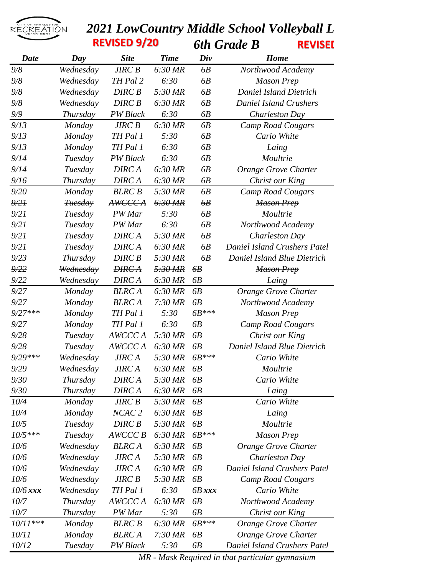

## **2021 LowCountry Middle School Volleyball L<br>REVISED 9/20** 6th Grade B REVISEL *6th Grade B* **REVISED 9/20 REVISED 9/20**

| <b>Date</b> | Day             | <b>Site</b>       | <b>Time</b> | Div      | Home                                |
|-------------|-----------------|-------------------|-------------|----------|-------------------------------------|
| 9/8         | Wednesday       | <b>JIRC B</b>     | 6:30 MR     | 6B       | Northwood Academy                   |
| 9/8         | Wednesday       | TH Pal 2          | 6:30        | 6B       | <b>Mason Prep</b>                   |
| 9/8         | Wednesday       | <b>DIRC B</b>     | 5:30 MR     | 6B       | <b>Daniel Island Dietrich</b>       |
| 9/8         | Wednesday       | <b>DIRC B</b>     | 6:30 MR     | 6B       | <b>Daniel Island Crushers</b>       |
| 9/9         | Thursday        | PW Black          | 6:30        | 6B       | Charleston Day                      |
| 9/13        | Monday          | <b>JIRC B</b>     | 6:30 MR     | 6B       | <b>Camp Road Cougars</b>            |
| 9/13        | <b>Monday</b>   | $HH$ Pal $H$      | 5:30        | 6B       | Cario White                         |
| 9/13        | Monday          | TH Pal 1          | 6:30        | 6B       | Laing                               |
| 9/14        | Tuesday         | <b>PW</b> Black   | 6:30        | 6B       | Moultrie                            |
| 9/14        | Tuesday         | <b>DIRCA</b>      | 6:30 MR     | 6B       | Orange Grove Charter                |
| 9/16        | Thursday        | <b>DIRCA</b>      | 6:30 MR     | 6B       | Christ our King                     |
| 9/20        | Monday          | <b>BLRC B</b>     | 5:30 MR     | 6B       | <b>Camp Road Cougars</b>            |
| 9/21        | <b>Tuesday</b>  | AWCCC A           | 6:30MR      | 6B       | <b>Mason Prep</b>                   |
| 9/21        | Tuesday         | PW Mar            | 5:30        | 6B       | Moultrie                            |
| 9/21        | Tuesday         | PW Mar            | 6:30        | 6B       | Northwood Academy                   |
| 9/21        | Tuesday         | <b>DIRCA</b>      | 5:30 MR     | 6B       | Charleston Day                      |
| 9/21        | Tuesday         | <b>DIRCA</b>      | 6:30 MR     | 6B       | <b>Daniel Island Crushers Patel</b> |
| 9/23        | Thursday        | <b>DIRC B</b>     | 5:30 MR     | 6B       | Daniel Island Blue Dietrich         |
| 9/22        | Wednesday       | <b>DIRCA</b>      | 5:30 MR     | bВ       | <b>Mason Prep</b>                   |
| 9/22        | Wednesday       | DIRC A            | 6:30 MR     | 6B       | Laing                               |
| 9/27        | Monday          | <b>BLRCA</b>      | 6:30 MR     | 6B       | Orange Grove Charter                |
| 9/27        | Monday          | <b>BLRCA</b>      | 7:30 MR     | 6B       | Northwood Academy                   |
| $9/27***$   | Monday          | TH Pal 1          | 5:30        | $6B***$  | <b>Mason Prep</b>                   |
| 9/27        | Monday          | TH Pal 1          | 6:30        | 6B       | <b>Camp Road Cougars</b>            |
| 9/28        | Tuesday         | AWCCC A           | 5:30 MR     | 6B       | Christ our King                     |
| 9/28        | Tuesday         | AWCCC A           | 6:30 MR     | 6B       | Daniel Island Blue Dietrich         |
| 9/29 ***    | Wednesday       | <b>JIRCA</b>      | 5:30 MR     | $6B***$  | Cario White                         |
| 9/29        | Wednesday       | <b>JIRCA</b>      | 6:30 MR     | 6B       | Moultrie                            |
| 9/30        | Thursday        | <b>DIRCA</b>      | 5:30 MR     | 6B       | Cario White                         |
| 9/30        | Thursday        | <b>DIRCA</b>      | 6:30 MR     | 6B       | Laing                               |
| 10/4        | Monday          | <b>JIRC B</b>     | 5:30 MR     | 6B       | Cario White                         |
| 10/4        | Monday          | NCAC <sub>2</sub> | 6:30 MR     | 6B       | Laing                               |
| 10/5        | Tuesday         | DIRC <sub>B</sub> | 5:30 MR     | 6B       | Moultrie                            |
| $10/5***$   | Tuesday         | AWCCC B           | 6:30 MR     | $6B***$  | <b>Mason Prep</b>                   |
| 10/6        | Wednesday       | <b>BLRCA</b>      | 6:30 MR     | 6B       | Orange Grove Charter                |
| 10/6        | Wednesday       | <b>JIRCA</b>      | 5:30 MR     | 6B       | Charleston Day                      |
| 10/6        | Wednesday       | <b>JIRCA</b>      | 6:30 MR     | 6B       | <b>Daniel Island Crushers Patel</b> |
| 10/6        | Wednesday       | <b>JIRC B</b>     | 5:30 MR     | 6B       | <b>Camp Road Cougars</b>            |
| $10/6$ xxx  | Wednesday       | TH Pal 1          | 6:30        | $6B$ xxx | Cario White                         |
| 10/7        | <i>Thursday</i> | AWCCC A           | 6:30 MR     | 6B       | Northwood Academy                   |
| 10/7        | Thursday        | PW Mar            | 5:30        | 6B       | Christ our King                     |
| $10/11***$  | Monday          | <b>BLRC B</b>     | 6:30 MR     | 6B***    | Orange Grove Charter                |
| 10/11       | Monday          | <b>BLRCA</b>      | $7:30$ MR   | 6B       | Orange Grove Charter                |
| 10/12       | Tuesday         | PW Black          | 5:30        | 6B       | <b>Daniel Island Crushers Patel</b> |

*MR - Mask Required in that particular gymnasium*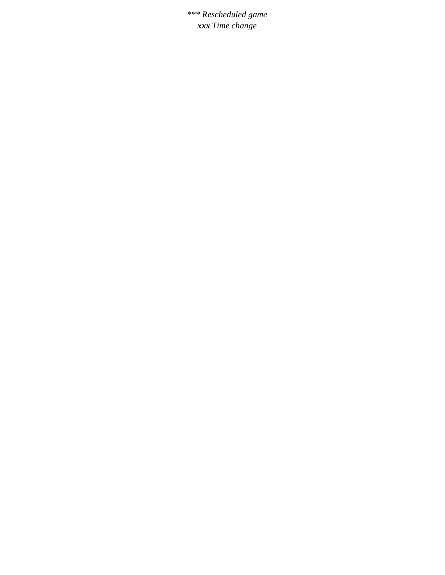*\*\*\* Rescheduled game xxx Time change*